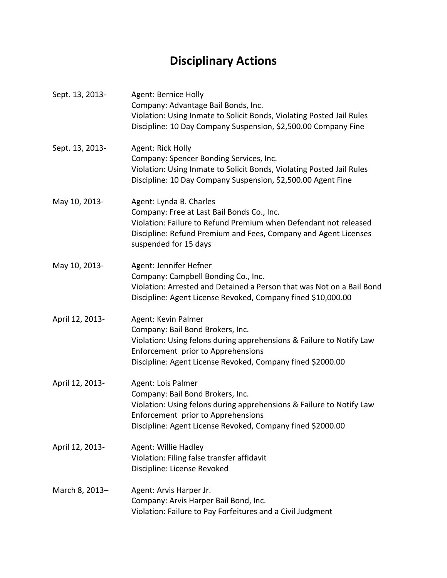## **Disciplinary Actions**

| Sept. 13, 2013- | Agent: Bernice Holly<br>Company: Advantage Bail Bonds, Inc.<br>Violation: Using Inmate to Solicit Bonds, Violating Posted Jail Rules<br>Discipline: 10 Day Company Suspension, \$2,500.00 Company Fine                                |
|-----------------|---------------------------------------------------------------------------------------------------------------------------------------------------------------------------------------------------------------------------------------|
| Sept. 13, 2013- | Agent: Rick Holly<br>Company: Spencer Bonding Services, Inc.<br>Violation: Using Inmate to Solicit Bonds, Violating Posted Jail Rules<br>Discipline: 10 Day Company Suspension, \$2,500.00 Agent Fine                                 |
| May 10, 2013-   | Agent: Lynda B. Charles<br>Company: Free at Last Bail Bonds Co., Inc.<br>Violation: Failure to Refund Premium when Defendant not released<br>Discipline: Refund Premium and Fees, Company and Agent Licenses<br>suspended for 15 days |
| May 10, 2013-   | Agent: Jennifer Hefner<br>Company: Campbell Bonding Co., Inc.<br>Violation: Arrested and Detained a Person that was Not on a Bail Bond<br>Discipline: Agent License Revoked, Company fined \$10,000.00                                |
| April 12, 2013- | Agent: Kevin Palmer<br>Company: Bail Bond Brokers, Inc.<br>Violation: Using felons during apprehensions & Failure to Notify Law<br>Enforcement prior to Apprehensions<br>Discipline: Agent License Revoked, Company fined \$2000.00   |
| April 12, 2013- | Agent: Lois Palmer<br>Company: Bail Bond Brokers, Inc.<br>Violation: Using felons during apprehensions & Failure to Notify Law<br>Enforcement prior to Apprehensions<br>Discipline: Agent License Revoked, Company fined \$2000.00    |
| April 12, 2013- | <b>Agent: Willie Hadley</b><br>Violation: Filing false transfer affidavit<br>Discipline: License Revoked                                                                                                                              |
| March 8, 2013-  | Agent: Arvis Harper Jr.<br>Company: Arvis Harper Bail Bond, Inc.<br>Violation: Failure to Pay Forfeitures and a Civil Judgment                                                                                                        |